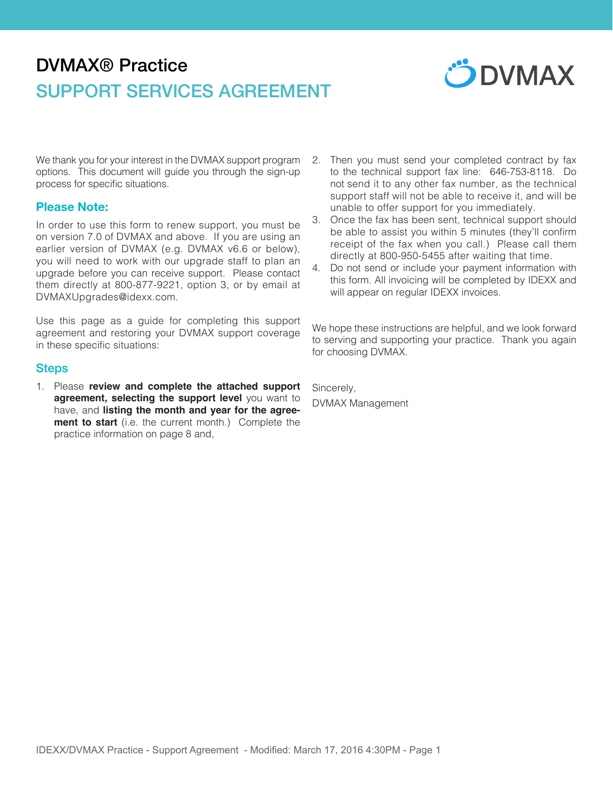# DVMAX® Practice SUPPORT SERVICES AGREEMENT



We thank you for your interest in the DVMAX support program options. This document will guide you through the sign-up process for specific situations.

#### **Please Note:**

In order to use this form to renew support, you must be on version 7.0 of DVMAX and above. If you are using an earlier version of DVMAX (e.g. DVMAX v6.6 or below), you will need to work with our upgrade staff to plan an upgrade before you can receive support. Please contact them directly at 800-877-9221, option 3, or by email at DVMAXUpgrades@idexx.com.

Use this page as a guide for completing this support agreement and restoring your DVMAX support coverage in these specific situations:

#### **Steps**

1. Please **review and complete the attached support agreement, selecting the support level** you want to have, and **listing the month and year for the agreement to start** (i.e. the current month.) Complete the practice information on page 8 and,

- 2. Then you must send your completed contract by fax to the technical support fax line: 646-753-8118. Do not send it to any other fax number, as the technical support staff will not be able to receive it, and will be unable to offer support for you immediately.
- 3. Once the fax has been sent, technical support should be able to assist you within 5 minutes (they'll confirm receipt of the fax when you call.) Please call them directly at 800-950-5455 after waiting that time.
- 4. Do not send or include your payment information with this form. All invoicing will be completed by IDEXX and will appear on regular IDEXX invoices.

We hope these instructions are helpful, and we look forward to serving and supporting your practice. Thank you again for choosing DVMAX.

Sincerely, DVMAX Management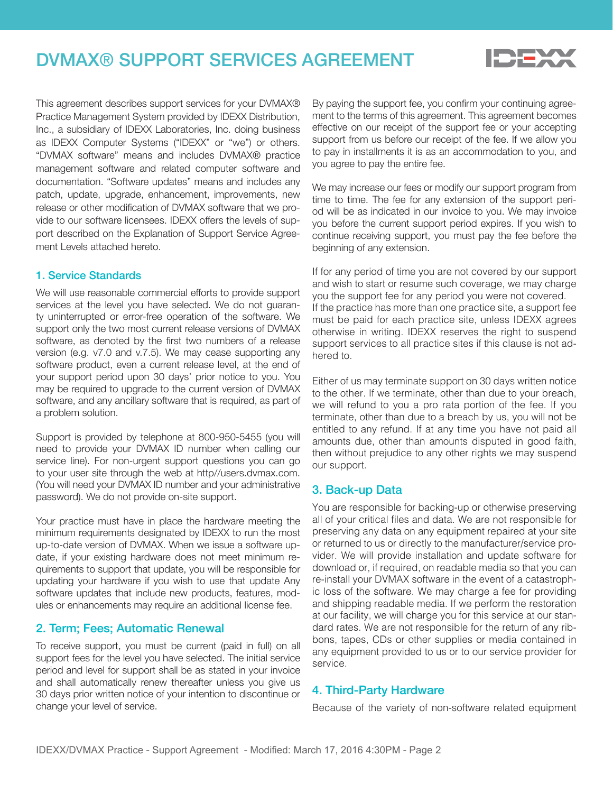## DVMAX® SUPPORT SERVICES AGREEMENT



This agreement describes support services for your DVMAX® Practice Management System provided by IDEXX Distribution, Inc., a subsidiary of IDEXX Laboratories, Inc. doing business as IDEXX Computer Systems ("IDEXX" or "we") or others. "DVMAX software" means and includes DVMAX® practice management software and related computer software and documentation. "Software updates" means and includes any patch, update, upgrade, enhancement, improvements, new release or other modification of DVMAX software that we provide to our software licensees. IDEXX offers the levels of support described on the Explanation of Support Service Agreement Levels attached hereto.

#### 1. Service Standards

We will use reasonable commercial efforts to provide support services at the level you have selected. We do not guaranty uninterrupted or error-free operation of the software. We support only the two most current release versions of DVMAX software, as denoted by the first two numbers of a release version (e.g. v7.0 and v.7.5). We may cease supporting any software product, even a current release level, at the end of your support period upon 30 days' prior notice to you. You may be required to upgrade to the current version of DVMAX software, and any ancillary software that is required, as part of a problem solution.

Support is provided by telephone at 800-950-5455 (you will need to provide your DVMAX ID number when calling our service line). For non-urgent support questions you can go to your user site through the web at http//users.dvmax.com. (You will need your DVMAX ID number and your administrative password). We do not provide on-site support.

Your practice must have in place the hardware meeting the minimum requirements designated by IDEXX to run the most up-to-date version of DVMAX. When we issue a software update, if your existing hardware does not meet minimum requirements to support that update, you will be responsible for updating your hardware if you wish to use that update Any software updates that include new products, features, modules or enhancements may require an additional license fee.

## 2. Term; Fees; Automatic Renewal

To receive support, you must be current (paid in full) on all support fees for the level you have selected. The initial service period and level for support shall be as stated in your invoice and shall automatically renew thereafter unless you give us 30 days prior written notice of your intention to discontinue or change your level of service.

By paying the support fee, you confirm your continuing agreement to the terms of this agreement. This agreement becomes effective on our receipt of the support fee or your accepting support from us before our receipt of the fee. If we allow you to pay in installments it is as an accommodation to you, and you agree to pay the entire fee.

We may increase our fees or modify our support program from time to time. The fee for any extension of the support period will be as indicated in our invoice to you. We may invoice you before the current support period expires. If you wish to continue receiving support, you must pay the fee before the beginning of any extension.

If for any period of time you are not covered by our support and wish to start or resume such coverage, we may charge you the support fee for any period you were not covered. If the practice has more than one practice site, a support fee must be paid for each practice site, unless IDEXX agrees otherwise in writing. IDEXX reserves the right to suspend support services to all practice sites if this clause is not adhered to.

Either of us may terminate support on 30 days written notice to the other. If we terminate, other than due to your breach, we will refund to you a pro rata portion of the fee. If you terminate, other than due to a breach by us, you will not be entitled to any refund. If at any time you have not paid all amounts due, other than amounts disputed in good faith, then without prejudice to any other rights we may suspend our support.

#### 3. Back-up Data

You are responsible for backing-up or otherwise preserving all of your critical files and data. We are not responsible for preserving any data on any equipment repaired at your site or returned to us or directly to the manufacturer/service provider. We will provide installation and update software for download or, if required, on readable media so that you can re-install your DVMAX software in the event of a catastrophic loss of the software. We may charge a fee for providing and shipping readable media. If we perform the restoration at our facility, we will charge you for this service at our standard rates. We are not responsible for the return of any ribbons, tapes, CDs or other supplies or media contained in any equipment provided to us or to our service provider for service.

#### 4. Third-Party Hardware

Because of the variety of non-software related equipment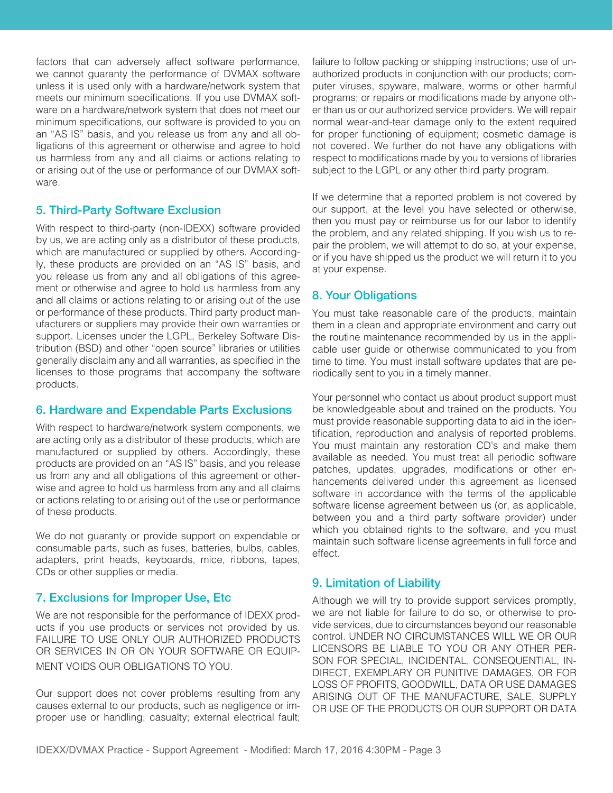factors that can adversely affect software performance, we cannot guaranty the performance of DVMAX software unless it is used only with a hardware/network system that meets our minimum specifications. If you use DVMAX software on a hardware/network system that does not meet our minimum specifications, our software is provided to you on an "AS IS" basis, and you release us from any and all obligations of this agreement or otherwise and agree to hold us harmless from any and all claims or actions relating to or arising out of the use or performance of our DVMAX software.

### 5. Third-Party Software Exclusion

With respect to third-party (non-IDEXX) software provided by us, we are acting only as a distributor of these products, which are manufactured or supplied by others. Accordingly, these products are provided on an "AS IS" basis, and you release us from any and all obligations of this agreement or otherwise and agree to hold us harmless from any and all claims or actions relating to or arising out of the use or performance of these products. Third party product manufacturers or suppliers may provide their own warranties or support. Licenses under the LGPL, Berkeley Software Distribution (BSD) and other "open source" libraries or utilities generally disclaim any and all warranties, as specified in the licenses to those programs that accompany the software products.

#### 6. Hardware and Expendable Parts Exclusions

With respect to hardware/network system components, we are acting only as a distributor of these products, which are manufactured or supplied by others. Accordingly, these products are provided on an "AS IS" basis, and you release us from any and all obligations of this agreement or otherwise and agree to hold us harmless from any and all claims or actions relating to or arising out of the use or performance of these products.

We do not guaranty or provide support on expendable or consumable parts, such as fuses, batteries, bulbs, cables, adapters, print heads, keyboards, mice, ribbons, tapes, CDs or other supplies or media.

## 7. Exclusions for Improper Use, Etc

We are not responsible for the performance of IDEXX products if you use products or services not provided by us. FAILURE TO USE ONLY OUR AUTHORIZED PRODUCTS OR SERVICES IN OR ON YOUR SOFTWARE OR EQUIP-MENT VOIDS OUR OBLIGATIONS TO YOU.

Our support does not cover problems resulting from any causes external to our products, such as negligence or improper use or handling; casualty; external electrical fault; failure to follow packing or shipping instructions; use of unauthorized products in conjunction with our products; computer viruses, spyware, malware, worms or other harmful programs; or repairs or modifications made by anyone other than us or our authorized service providers. We will repair normal wear-and-tear damage only to the extent required for proper functioning of equipment; cosmetic damage is not covered. We further do not have any obligations with respect to modifications made by you to versions of libraries subject to the LGPL or any other third party program.

If we determine that a reported problem is not covered by our support, at the level you have selected or otherwise, then you must pay or reimburse us for our labor to identify the problem, and any related shipping. If you wish us to repair the problem, we will attempt to do so, at your expense, or if you have shipped us the product we will return it to you at your expense.

## 8. Your Obligations

You must take reasonable care of the products, maintain them in a clean and appropriate environment and carry out the routine maintenance recommended by us in the applicable user guide or otherwise communicated to you from time to time. You must install software updates that are periodically sent to you in a timely manner.

Your personnel who contact us about product support must be knowledgeable about and trained on the products. You must provide reasonable supporting data to aid in the identification, reproduction and analysis of reported problems. You must maintain any restoration CD's and make them available as needed. You must treat all periodic software patches, updates, upgrades, modifications or other enhancements delivered under this agreement as licensed software in accordance with the terms of the applicable software license agreement between us (or, as applicable, between you and a third party software provider) under which you obtained rights to the software, and you must maintain such software license agreements in full force and effect.

## 9. Limitation of Liability

Although we will try to provide support services promptly, we are not liable for failure to do so, or otherwise to provide services, due to circumstances beyond our reasonable control. UNDER NO CIRCUMSTANCES WILL WE OR OUR LICENSORS BE LIABLE TO YOU OR ANY OTHER PER-SON FOR SPECIAL, INCIDENTAL, CONSEQUENTIAL, IN-DIRECT, EXEMPLARY OR PUNITIVE DAMAGES, OR FOR LOSS OF PROFITS, GOODWILL, DATA OR USE DAMAGES ARISING OUT OF THE MANUFACTURE, SALE, SUPPLY OR USE OF THE PRODUCTS OR OUR SUPPORT OR DATA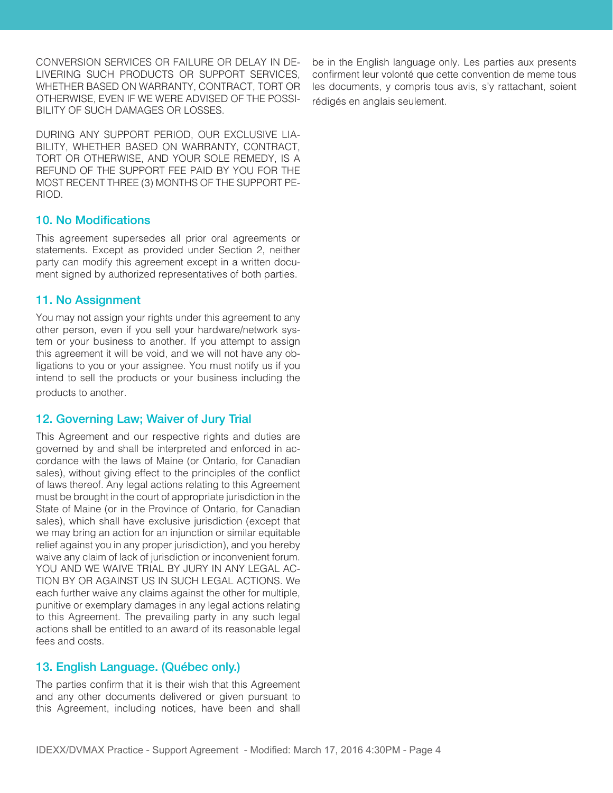CONVERSION SERVICES OR FAILURE OR DELAY IN DE-LIVERING SUCH PRODUCTS OR SUPPORT SERVICES, WHETHER BASED ON WARRANTY, CONTRACT, TORT OR OTHERWISE, EVEN IF WE WERE ADVISED OF THE POSSI-BILITY OF SUCH DAMAGES OR LOSSES.

DURING ANY SUPPORT PERIOD, OUR EXCLUSIVE LIA-BILITY, WHETHER BASED ON WARRANTY, CONTRACT, TORT OR OTHERWISE, AND YOUR SOLE REMEDY, IS A REFUND OF THE SUPPORT FEE PAID BY YOU FOR THE MOST RECENT THREE (3) MONTHS OF THE SUPPORT PE-RIOD.

#### 10. No Modifications

This agreement supersedes all prior oral agreements or statements. Except as provided under Section 2, neither party can modify this agreement except in a written document signed by authorized representatives of both parties.

#### 11. No Assignment

You may not assign your rights under this agreement to any other person, even if you sell your hardware/network system or your business to another. If you attempt to assign this agreement it will be void, and we will not have any obligations to you or your assignee. You must notify us if you intend to sell the products or your business including the products to another.

#### 12. Governing Law; Waiver of Jury Trial

This Agreement and our respective rights and duties are governed by and shall be interpreted and enforced in accordance with the laws of Maine (or Ontario, for Canadian sales), without giving effect to the principles of the conflict of laws thereof. Any legal actions relating to this Agreement must be brought in the court of appropriate jurisdiction in the State of Maine (or in the Province of Ontario, for Canadian sales), which shall have exclusive jurisdiction (except that we may bring an action for an injunction or similar equitable relief against you in any proper jurisdiction), and you hereby waive any claim of lack of jurisdiction or inconvenient forum. YOU AND WE WAIVE TRIAL BY JURY IN ANY LEGAL AC-TION BY OR AGAINST US IN SUCH LEGAL ACTIONS. We each further waive any claims against the other for multiple, punitive or exemplary damages in any legal actions relating to this Agreement. The prevailing party in any such legal actions shall be entitled to an award of its reasonable legal fees and costs.

## 13. English Language. (Québec only.)

The parties confirm that it is their wish that this Agreement and any other documents delivered or given pursuant to this Agreement, including notices, have been and shall

be in the English language only. Les parties aux presents confirment leur volonté que cette convention de meme tous les documents, y compris tous avis, s'y rattachant, soient rédigés en anglais seulement.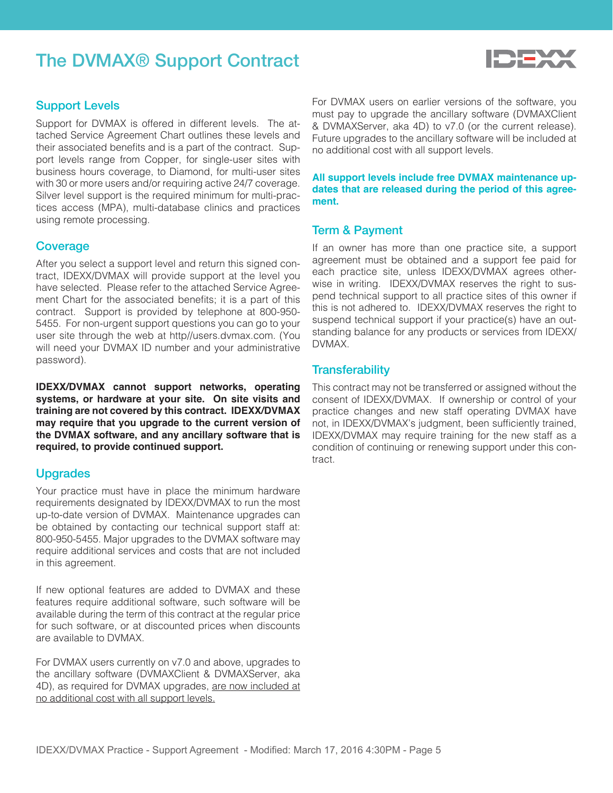## The DVMAX® Support Contract



#### Support Levels

Support for DVMAX is offered in different levels. The attached Service Agreement Chart outlines these levels and their associated benefits and is a part of the contract. Support levels range from Copper, for single-user sites with business hours coverage, to Diamond, for multi-user sites with 30 or more users and/or requiring active 24/7 coverage. Silver level support is the required minimum for multi-practices access (MPA), multi-database clinics and practices using remote processing.

#### **Coverage**

After you select a support level and return this signed contract, IDEXX/DVMAX will provide support at the level you have selected. Please refer to the attached Service Agreement Chart for the associated benefits; it is a part of this contract. Support is provided by telephone at 800-950- 5455. For non-urgent support questions you can go to your user site through the web at http//users.dvmax.com. (You will need your DVMAX ID number and your administrative password).

**IDEXX/DVMAX cannot support networks, operating systems, or hardware at your site. On site visits and training are not covered by this contract. IDEXX/DVMAX may require that you upgrade to the current version of the DVMAX software, and any ancillary software that is required, to provide continued support.**

#### Upgrades

Your practice must have in place the minimum hardware requirements designated by IDEXX/DVMAX to run the most up-to-date version of DVMAX. Maintenance upgrades can be obtained by contacting our technical support staff at: 800-950-5455. Major upgrades to the DVMAX software may require additional services and costs that are not included in this agreement.

If new optional features are added to DVMAX and these features require additional software, such software will be available during the term of this contract at the regular price for such software, or at discounted prices when discounts are available to DVMAX.

For DVMAX users currently on v7.0 and above, upgrades to the ancillary software (DVMAXClient & DVMAXServer, aka 4D), as required for DVMAX upgrades, are now included at no additional cost with all support levels.

For DVMAX users on earlier versions of the software, you must pay to upgrade the ancillary software (DVMAXClient & DVMAXServer, aka 4D) to v7.0 (or the current release). Future upgrades to the ancillary software will be included at no additional cost with all support levels.

**All support levels include free DVMAX maintenance updates that are released during the period of this agreement.**

#### Term & Payment

If an owner has more than one practice site, a support agreement must be obtained and a support fee paid for each practice site, unless IDEXX/DVMAX agrees otherwise in writing. IDEXX/DVMAX reserves the right to suspend technical support to all practice sites of this owner if this is not adhered to. IDEXX/DVMAX reserves the right to suspend technical support if your practice(s) have an outstanding balance for any products or services from IDEXX/ DVMAX.

#### **Transferability**

This contract may not be transferred or assigned without the consent of IDEXX/DVMAX. If ownership or control of your practice changes and new staff operating DVMAX have not, in IDEXX/DVMAX's judgment, been sufficiently trained, IDEXX/DVMAX may require training for the new staff as a condition of continuing or renewing support under this contract.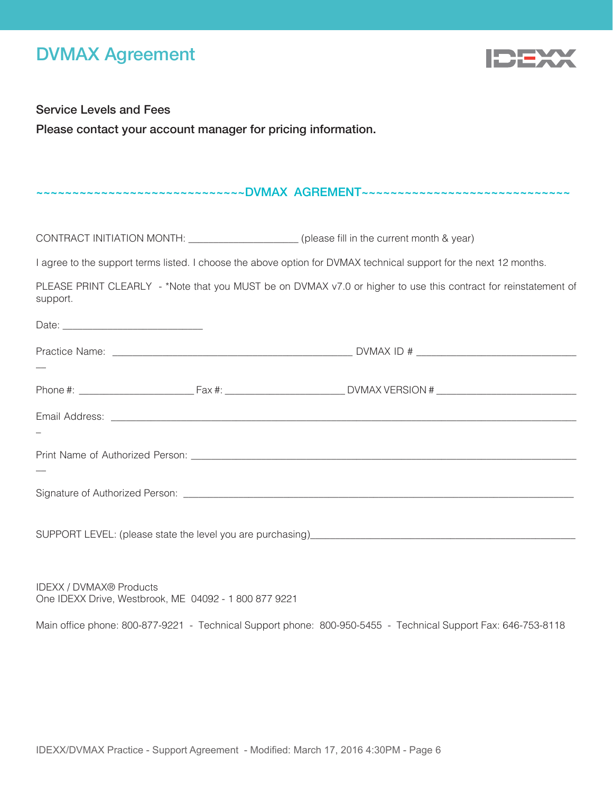## DVMAX Agreement



Service Levels and Fees

Date:

Please contact your account manager for pricing information.

#### ~~~~~~~~~~~~~~~~~~~~~~~~~~DVMAX AGREMENT~~~~~~~~~~~~~~~~~~~~~~~~~~~~~~~~~

CONTRACT INITIATION MONTH: \_\_\_\_\_\_\_\_\_\_\_\_\_\_\_\_\_\_\_\_\_\_ (please fill in the current month & year)

I agree to the support terms listed. I choose the above option for DVMAX technical support for the next 12 months.

PLEASE PRINT CLEARLY - \*Note that you MUST be on DVMAX v7.0 or higher to use this contract for reinstatement of support.

IDEXX / DVMAX® Products One IDEXX Drive, Westbrook, ME 04092 - 1 800 877 9221

Main office phone: 800-877-9221 - Technical Support phone: 800-950-5455 - Technical Support Fax: 646-753-8118